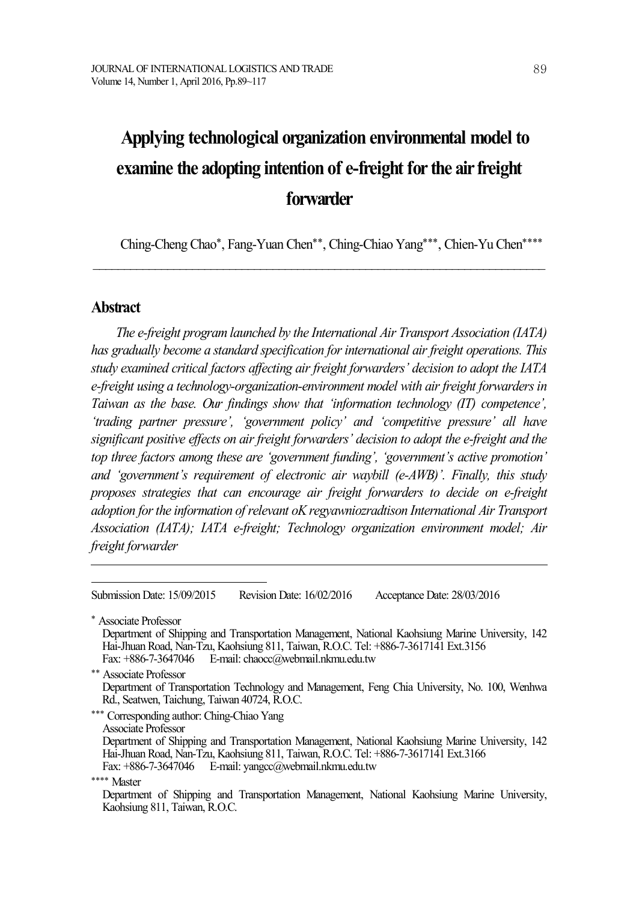# **Applying technological organization environmental model to examine the adopting intention of e-freight for the air freight forwarder**

Ching-Cheng Chao\*, Fang-Yuan Chen\*\*, Ching-Chiao Yang\*\*\*, Chien-Yu Chen\*\*\*\*

\_\_\_\_\_\_\_\_\_\_\_\_\_\_\_\_\_\_\_\_\_\_\_\_\_\_\_\_\_\_\_\_\_\_\_\_\_\_\_\_\_\_\_\_\_\_\_\_\_\_\_\_\_\_\_\_\_\_\_\_\_\_\_\_\_\_\_\_\_\_\_\_\_

## **Abstract**

*The e-freight program launched by the International Air Transport Association (IATA) has gradually become a standard specification for international air freight operations. This study examined critical factors af ecting air freight forwarders' decision to adopt the IATA e-freight using a technology-organization-environment model with air freight forwardersin Taiwan as the base. Our findings show that 'information technology (IT) competence', 'trading partner pressure', 'government policy' and 'competitive pressure' all have significant positive ef ects on air freight forwarders' decision to adopt the e-freight and the top three factors among these are 'government funding', 'government's active promotion' and 'government's requirement of electronic air waybill (e-AWB)'. Finally, this study proposes strategies that can encourage air freight forwarders to decide on e-freight adoption forthe information of relevant oKregyawniozradtison International Air Transport Association (IATA); IATA e-freight; Technology organization environment model; Air freight forwarder*

Submission Date: 15/09/2015 Revision Date: 16/02/2016 Acceptance Date: 28/03/2016

\* Associate Professor

Department of Shipping and Transportation Management, National Kaohsiung Marine University, 142 Hai-JhuanRoad, Nan-Tzu, Kaohsiung 811, Taiwan, R.O.C. Tel: +886-7-3617141 Ext.3156 Fax: +886-7-3647046 E-mail: chaocc@webmail.nkmu.edu.tw

\*\* Associate Professor

Department of Transportation Technology and Management, Feng Chia University, No. 100, Wenhwa Rd., Seatwen, Taichung, Taiwan 40724, R.O.C.

\*\*\* Corresponding author: Ching-Chiao Yang

Associate Professor

Department of Shipping and Transportation Management, National Kaohsiung Marine University, 142 Hai-JhuanRoad, Nan-Tzu, Kaohsiung 811, Taiwan, R.O.C. Tel: +886-7-3617141 Ext.3166 Fax: +886-7-3647046 E-mail: yangcc@webmail.nkmu.edu.tw

\*\*\*\* Master

Department of Shipping and Transportation Management, National Kaohsiung Marine University, Kaohsiung 811, Taiwan, R.O.C.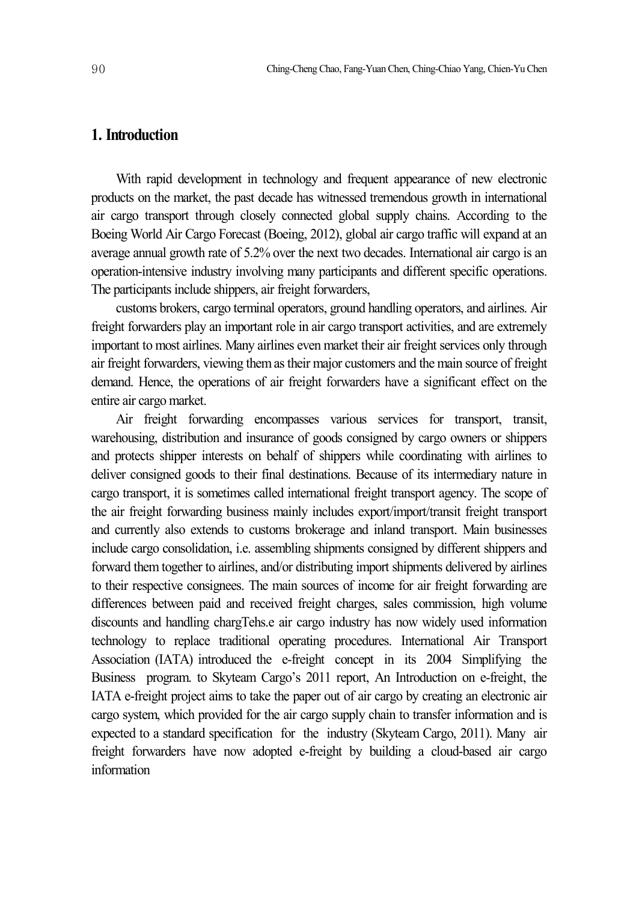## **1. Introduction**

With rapid development in technology and frequent appearance of new electronic products on the market, the past decade has witnessed tremendous growth in international air cargo transport through closely connected global supply chains. According to the Boeing World Air Cargo Forecast (Boeing, 2012), global air cargo traffic will expand at an average annual growth rate of 5.2% over the next two decades. International air cargo is an operation-intensive industry involving many participants and different specific operations. The participants include shippers, air freight forwarders,

customs brokers, cargo terminal operators, ground handling operators, and airlines. Air freight forwarders play an important role in air cargo transport activities, and are extremely important to most airlines. Many airlines even market their air freight services only through air freight forwarders, viewing them as their major customers and the main source of freight demand. Hence, the operations of air freight forwarders have a significant effect on the entire air cargo market.

Air freight forwarding encompasses various services for transport, transit, warehousing, distribution and insurance of goods consigned by cargo owners or shippers and protects shipper interests on behalf of shippers while coordinating with airlines to deliver consigned goods to their final destinations. Because of its intermediary nature in cargo transport, it is sometimes called international freight transport agency. The scope of the air freight forwarding business mainly includes export/import/transit freight transport and currently also extends to customs brokerage and inland transport. Main businesses include cargo consolidation, i.e. assembling shipments consigned by different shippers and forward them together to airlines, and/or distributing import shipments delivered by airlines to their respective consignees. The main sources of income for air freight forwarding are differences between paid and received freight charges, sales commission, high volume discounts and handling chargTehs.e air cargo industry has now widely used information technology to replace traditional operating procedures. International Air Transport Association (IATA) introduced the e-freight concept in its 2004 Simplifying the Business program. to Skyteam Cargo's 2011 report, An Introduction on e-freight, the IATA e-freight project aims to take the paper out of air cargo by creating an electronic air cargo system, which provided for the air cargo supply chain to transfer information and is expected to a standard specification for the industry (Skyteam Cargo, 2011). Many air freight forwarders have now adopted e-freight by building a cloud-based air cargo information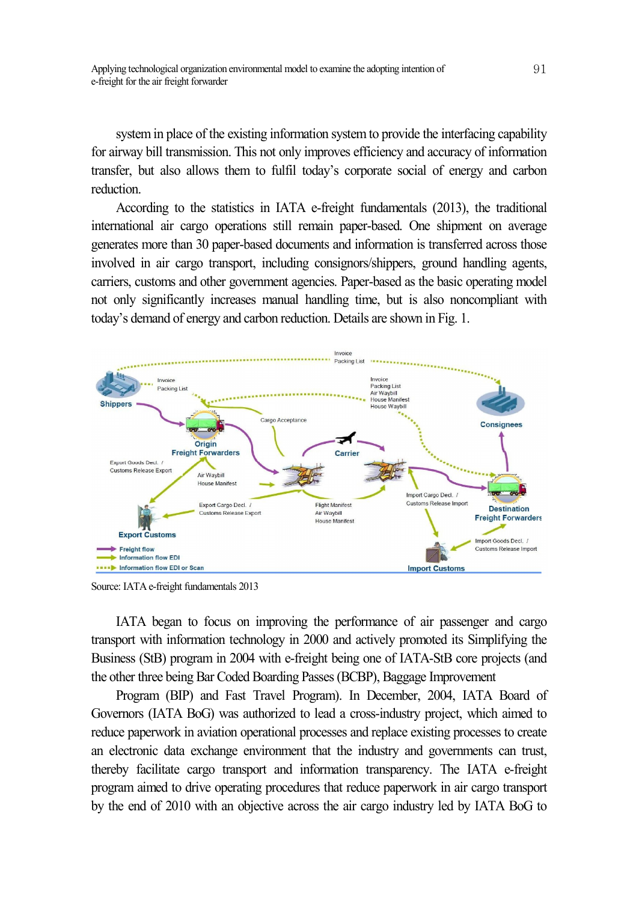system in place of the existing information system to provide the interfacing capability for airway bill transmission. This not only improves efficiency and accuracy of information transfer, but also allows them to fulfil today's corporate social of energy and carbon reduction.

According to the statistics in IATA e-freight fundamentals (2013), the traditional international air cargo operations still remain paper-based. One shipment on average generates more than 30 paper-based documents and information is transferred across those involved in air cargo transport, including consignors/shippers, ground handling agents, carriers, customs and other government agencies. Paper-based as the basic operating model not only significantly increases manual handling time, but is also noncompliant with today's demand of energy and carbon reduction. Details are shown in Fig. 1.



Source: IATA e-freight fundamentals 2013

IATA began to focus on improving the performance of air passenger and cargo transport with information technology in 2000 and actively promoted its Simplifying the Business (StB) program in 2004 with e-freight being one of IATA-StB core projects (and the other three being Bar Coded Boarding Passes(BCBP), Baggage Improvement

Program (BIP) and Fast Travel Program). In December, 2004, IATA Board of Governors (IATA BoG) was authorized to lead a cross-industry project, which aimed to reduce paperwork in aviation operational processes and replace existing processes to create an electronic data exchange environment that the industry and governments can trust, thereby facilitate cargo transport and information transparency. The IATA e-freight program aimed to drive operating procedures that reduce paperwork in air cargo transport by the end of 2010 with an objective across the air cargo industry led by IATA BoG to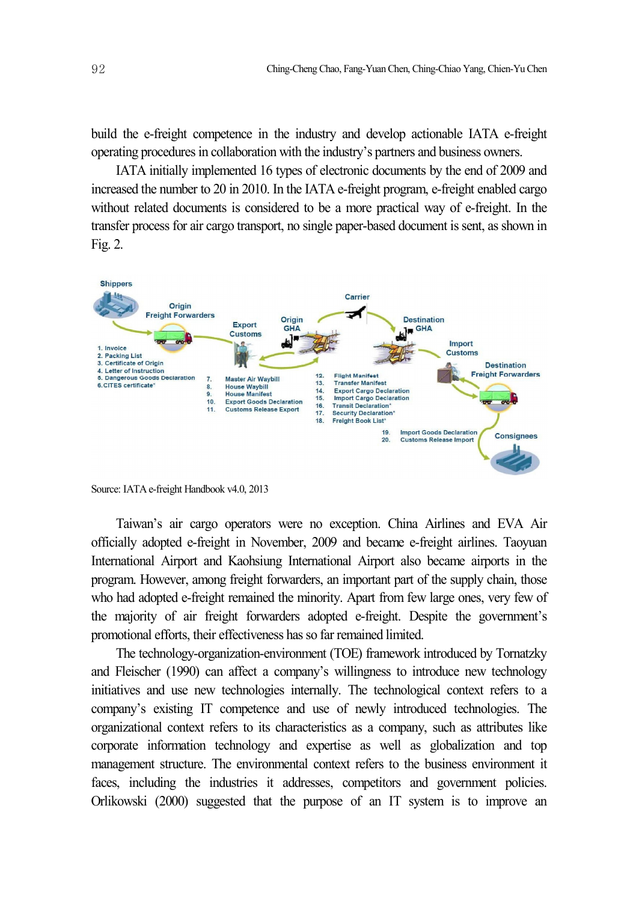build the e-freight competence in the industry and develop actionable IATA e-freight operating procedures in collaboration with the industry's partners and business owners.

IATA initially implemented 16 types of electronic documents by the end of 2009 and increased the number to 20 in 2010. In the IATA e-freight program, e-freight enabled cargo without related documents is considered to be a more practical way of e-freight. In the transfer process for air cargo transport, no single paper-based document is sent, as shown in Fig. 2.



Source: IATA e-freight Handbook v4.0, 2013

Taiwan's air cargo operators were no exception. China Airlines and EVA Air officially adopted e-freight in November, 2009 and became e-freight airlines. Taoyuan International Airport and Kaohsiung International Airport also became airports in the program. However, among freight forwarders, an important part of the supply chain, those who had adopted e-freight remained the minority. Apart from few large ones, very few of the majority of air freight forwarders adopted e-freight. Despite the government's promotional efforts, their effectiveness has so far remained limited.

The technology-organization-environment (TOE) framework introduced by Tornatzky and Fleischer (1990) can affect a company's willingness to introduce new technology initiatives and use new technologies internally. The technological context refers to a company's existing IT competence and use of newly introduced technologies. The organizational context refers to its characteristics as a company, such as attributes like corporate information technology and expertise as well as globalization and top management structure. The environmental context refers to the business environment it faces, including the industries it addresses, competitors and government policies. Orlikowski (2000) suggested that the purpose of an IT system is to improve an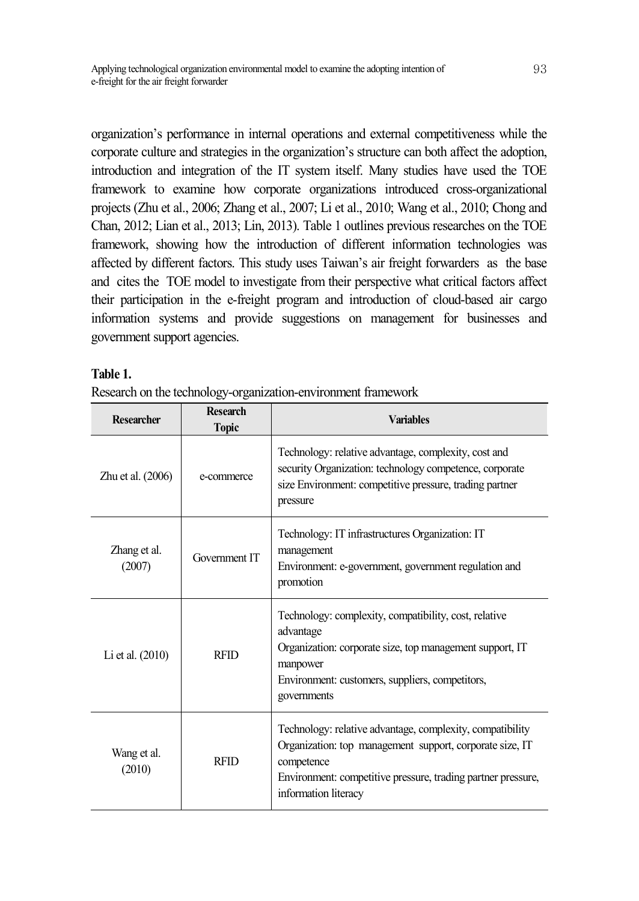organization's performance in internal operations and external competitiveness while the corporate culture and strategies in the organization's structure can both affect the adoption, introduction and integration of the IT system itself. Many studies have used the TOE framework to examine how corporate organizations introduced cross-organizational projects (Zhu et al., 2006; Zhang et al., 2007; Li et al., 2010; Wang et al., 2010; Chong and Chan, 2012; Lian et al., 2013; Lin, 2013). Table 1 outlines previous researches on the TOE framework, showing how the introduction of different information technologies was affected by different factors. This study uses Taiwan's air freight forwarders as the base and cites the TOE model to investigate from their perspective what critical factors affect their participation in the e-freight program and introduction of cloud-based air cargo information systems and provide suggestions on management for businesses and government support agencies.

## **Table 1.**

|  |  |  | Research on the technology-organization-environment framework |  |
|--|--|--|---------------------------------------------------------------|--|
|  |  |  |                                                               |  |
|  |  |  |                                                               |  |
|  |  |  |                                                               |  |

| <b>Researcher</b>      | <b>Research</b><br><b>Topic</b> | <b>Variables</b>                                                                                                                                                                                                            |
|------------------------|---------------------------------|-----------------------------------------------------------------------------------------------------------------------------------------------------------------------------------------------------------------------------|
| Zhu et al. (2006)      | e-commerce                      | Technology: relative advantage, complexity, cost and<br>security Organization: technology competence, corporate<br>size Environment: competitive pressure, trading partner<br>pressure                                      |
| Zhang et al.<br>(2007) | Government IT                   | Technology: IT infrastructures Organization: IT<br>management<br>Environment: e-government, government regulation and<br>promotion                                                                                          |
| Li et al. (2010)       | <b>RFID</b>                     | Technology: complexity, compatibility, cost, relative<br>advantage<br>Organization: corporate size, top management support, IT<br>manpower<br>Environment: customers, suppliers, competitors,<br>governments                |
| Wang et al.<br>(2010)  | <b>RFID</b>                     | Technology: relative advantage, complexity, compatibility<br>Organization: top management support, corporate size, IT<br>competence<br>Environment: competitive pressure, trading partner pressure,<br>information literacy |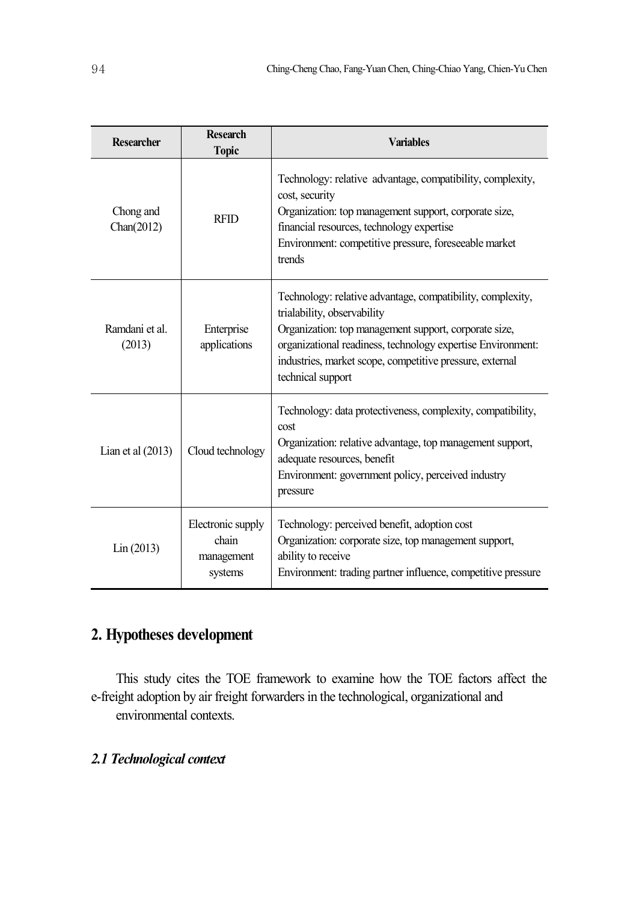| <b>Researcher</b>        | <b>Research</b><br><b>Topic</b>                     | <b>Variables</b>                                                                                                                                                                                                                                                                                   |
|--------------------------|-----------------------------------------------------|----------------------------------------------------------------------------------------------------------------------------------------------------------------------------------------------------------------------------------------------------------------------------------------------------|
| Chong and<br>Chan(2012)  | <b>RFID</b>                                         | Technology: relative advantage, compatibility, complexity,<br>cost, security<br>Organization: top management support, corporate size,<br>financial resources, technology expertise<br>Environment: competitive pressure, foreseeable market<br>trends                                              |
| Ramdani et al.<br>(2013) | Enterprise<br>applications                          | Technology: relative advantage, compatibility, complexity,<br>trialability, observability<br>Organization: top management support, corporate size,<br>organizational readiness, technology expertise Environment:<br>industries, market scope, competitive pressure, external<br>technical support |
| Lian et al $(2013)$      | Cloud technology                                    | Technology: data protectiveness, complexity, compatibility,<br>cost<br>Organization: relative advantage, top management support,<br>adequate resources, benefit<br>Environment: government policy, perceived industry<br>pressure                                                                  |
| Lin (2013)               | Electronic supply<br>chain<br>management<br>systems | Technology: perceived benefit, adoption cost<br>Organization: corporate size, top management support,<br>ability to receive<br>Environment: trading partner influence, competitive pressure                                                                                                        |

## **2. Hypotheses development**

This study cites the TOE framework to examine how the TOE factors affect the e-freight adoption by air freight forwarders in the technological, organizational and environmental contexts.

## *2.1 Technological context*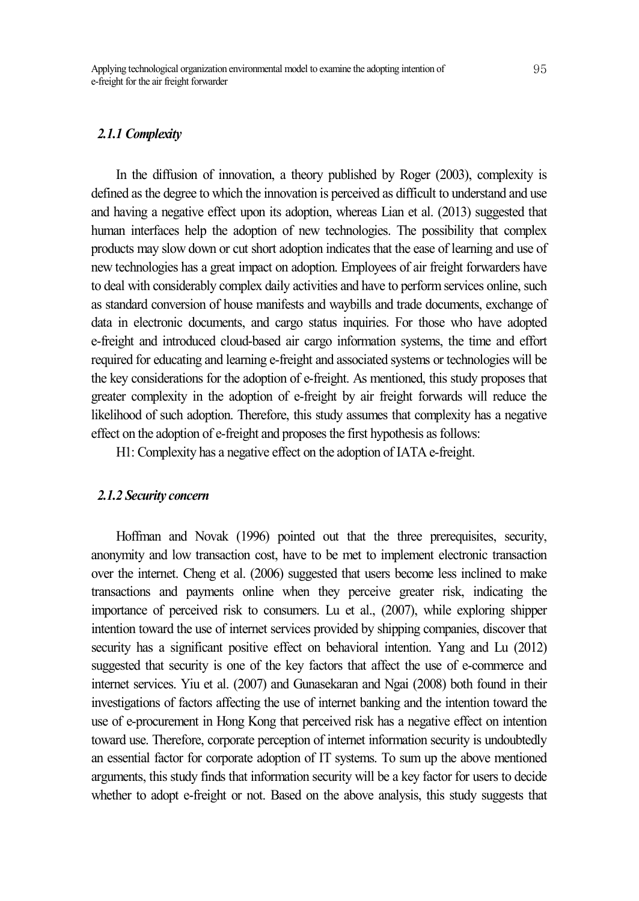#### *2.1.1 Complexity*

In the diffusion of innovation, a theory published by Roger (2003), complexity is defined as the degree to which the innovation is perceived as difficult to understand and use and having a negative effect upon its adoption, whereas Lian et al. (2013) suggested that human interfaces help the adoption of new technologies. The possibility that complex products may slow down or cut short adoption indicates that the ease of learning and use of new technologies has a great impact on adoption. Employees of air freight forwarders have to deal with considerably complex daily activities and have to performservices online, such as standard conversion of house manifests and waybills and trade documents, exchange of data in electronic documents, and cargo status inquiries. For those who have adopted e-freight and introduced cloud-based air cargo information systems, the time and effort required for educating and learning e-freight and associated systems or technologies will be the key considerations for the adoption of e-freight. As mentioned, this study proposes that greater complexity in the adoption of e-freight by air freight forwards will reduce the likelihood of such adoption. Therefore, this study assumes that complexity has a negative effect on the adoption of e-freight and proposes the first hypothesis as follows:

H1: Complexity has a negative effect on the adoption of IATA e-freight.

#### *2.1.2 Security concern*

Hoffman and Novak (1996) pointed out that the three prerequisites, security, anonymity and low transaction cost, have to be met to implement electronic transaction over the internet. Cheng et al. (2006) suggested that users become less inclined to make transactions and payments online when they perceive greater risk, indicating the importance of perceived risk to consumers. Lu et al., (2007), while exploring shipper intention toward the use of internet services provided by shipping companies, discover that security has a significant positive effect on behavioral intention. Yang and Lu (2012) suggested that security is one of the key factors that affect the use of e-commerce and internet services. Yiu et al. (2007) and Gunasekaran and Ngai (2008) both found in their investigations of factors affecting the use of internet banking and the intention toward the use of e-procurement in Hong Kong that perceived risk has a negative effect on intention toward use. Therefore, corporate perception of internet information security is undoubtedly an essential factor for corporate adoption of IT systems. To sum up the above mentioned arguments, this study finds that information security will be a key factor for users to decide whether to adopt e-freight or not. Based on the above analysis, this study suggests that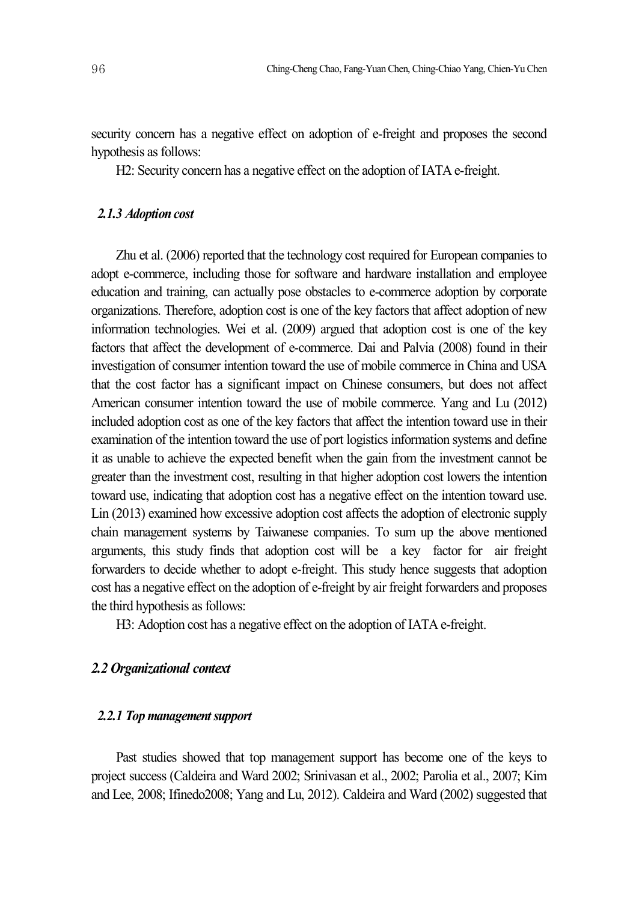security concern has a negative effect on adoption of e-freight and proposes the second hypothesis as follows:

H2: Security concern has a negative effect on the adoption of IATA e-freight.

#### *2.1.3 Adoption cost*

Zhu et al. (2006) reported that the technology cost required for European companies to adopt e-commerce, including those for software and hardware installation and employee education and training, can actually pose obstacles to e-commerce adoption by corporate organizations. Therefore, adoption cost is one of the key factors that affect adoption of new information technologies. Wei et al. (2009) argued that adoption cost is one of the key factors that affect the development of e-commerce. Dai and Palvia (2008) found in their investigation of consumer intention toward the use of mobile commerce in China and USA that the cost factor has a significant impact on Chinese consumers, but does not affect American consumer intention toward the use of mobile commerce. Yang and Lu (2012) included adoption cost as one of the key factors that affect the intention toward use in their examination of the intention toward the use of port logistics information systems and define it as unable to achieve the expected benefit when the gain from the investment cannot be greater than the investment cost, resulting in that higher adoption cost lowers the intention toward use, indicating that adoption cost has a negative effect on the intention toward use. Lin (2013) examined how excessive adoption cost affects the adoption of electronic supply chain management systems by Taiwanese companies. To sum up the above mentioned arguments, this study finds that adoption cost will be a key factor for air freight forwarders to decide whether to adopt e-freight. This study hence suggests that adoption cost has a negative effect on the adoption of e-freight by air freight forwarders and proposes the third hypothesis as follows:

H3: Adoption cost has a negative effect on the adoption of IATA e-freight.

## *2.2 Organizational context*

#### 2.2.1 Top management support

Past studies showed that top management support has become one of the keys to project success (Caldeira and Ward 2002; Srinivasan et al., 2002; Parolia et al., 2007; Kim and Lee, 2008; Ifinedo2008; Yang and Lu, 2012). Caldeira and Ward (2002) suggested that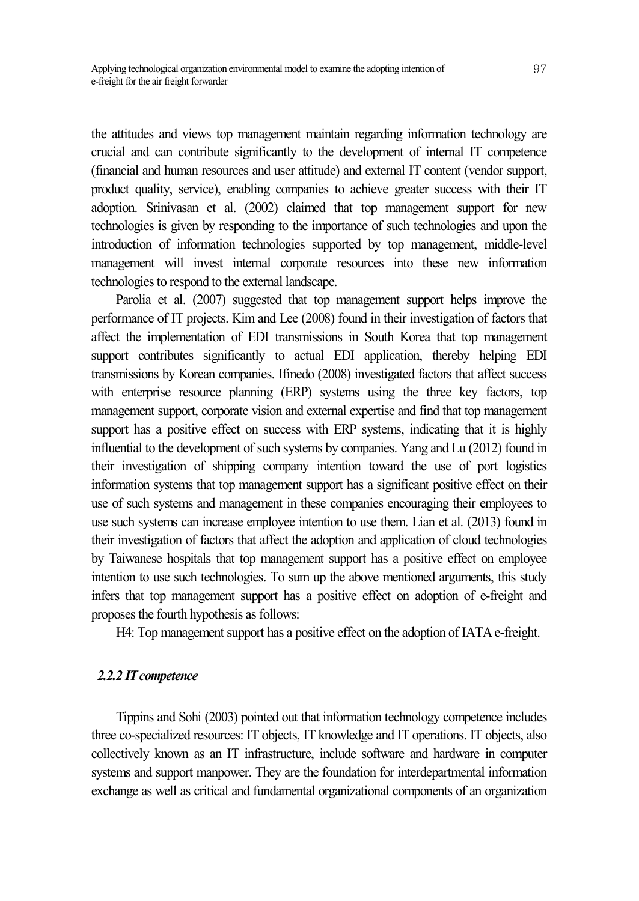the attitudes and views top management maintain regarding information technology are crucial and can contribute significantly to the development of internal IT competence (financial and human resources and user attitude) and external IT content (vendor support, product quality, service), enabling companies to achieve greater success with their IT adoption. Srinivasan et al. (2002) claimed that top management support for new technologies is given by responding to the importance of such technologies and upon the introduction of information technologies supported by top management, middle-level management will invest internal corporate resources into these new information technologies to respond to the external landscape.

Parolia et al. (2007) suggested that top management support helps improve the performance of IT projects. Kim and Lee (2008) found in their investigation of factors that affect the implementation of EDI transmissions in South Korea that top management support contributes significantly to actual EDI application, thereby helping EDI transmissions by Korean companies. Ifinedo (2008) investigated factors that affect success with enterprise resource planning (ERP) systems using the three key factors, top management support, corporate vision and external expertise and find that top management support has a positive effect on success with ERP systems, indicating that it is highly influential to the development of such systems by companies. Yang and Lu (2012) found in their investigation of shipping company intention toward the use of port logistics information systems that top management support has a significant positive effect on their use of such systems and management in these companies encouraging their employees to use such systems can increase employee intention to use them. Lian et al. (2013) found in their investigation of factors that affect the adoption and application of cloud technologies by Taiwanese hospitals that top management support has a positive effect on employee intention to use such technologies. To sum up the above mentioned arguments, this study infers that top management support has a positive effect on adoption of e-freight and proposes the fourth hypothesis as follows:

H4: Top management support has a positive effect on the adoption of IATA e-freight.

#### *2.2.2 ITcompetence*

Tippins and Sohi (2003) pointed out that information technology competence includes three co-specialized resources: IT objects, IT knowledge and IT operations. IT objects, also collectively known as an IT infrastructure, include software and hardware in computer systems and support manpower. They are the foundation for interdepartmental information exchange as well as critical and fundamental organizational components of an organization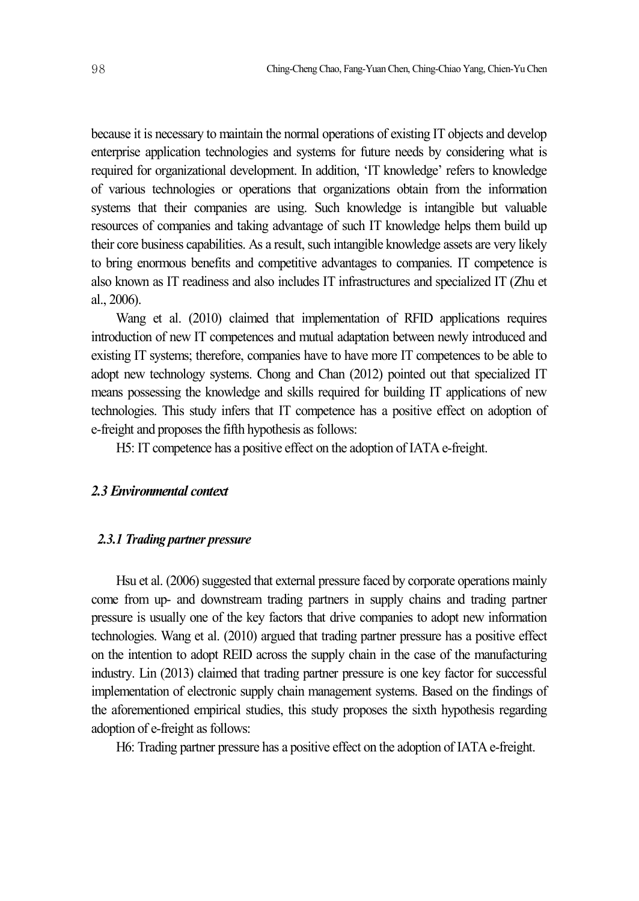because it is necessary to maintain the normal operations of existing IT objects and develop enterprise application technologies and systems for future needs by considering what is required for organizational development. In addition, 'IT knowledge' refers to knowledge of various technologies or operations that organizations obtain from the information systems that their companies are using. Such knowledge is intangible but valuable resources of companies and taking advantage of such IT knowledge helps them build up their core business capabilities. As a result, such intangible knowledge assets are very likely to bring enormous benefits and competitive advantages to companies. IT competence is also known as IT readiness and also includes IT infrastructures and specialized IT (Zhu et al., 2006).

Wang et al. (2010) claimed that implementation of RFID applications requires introduction of new IT competences and mutual adaptation between newly introduced and existing IT systems; therefore, companies have to have more IT competences to be able to adopt new technology systems. Chong and Chan (2012) pointed out that specialized IT means possessing the knowledge and skills required for building IT applications of new technologies. This study infers that IT competence has a positive effect on adoption of e-freight and proposes the fifth hypothesis as follows:

H5: IT competence has a positive effect on the adoption of IATA e-freight.

#### *2.3 Environmental context*

## *2.3.1 Trading partner pressure*

Hsu et al. (2006) suggested that external pressure faced by corporate operations mainly come from up- and downstream trading partners in supply chains and trading partner pressure is usually one of the key factors that drive companies to adopt new information technologies. Wang et al. (2010) argued that trading partner pressure has a positive effect on the intention to adopt REID across the supply chain in the case of the manufacturing industry. Lin (2013) claimed that trading partner pressure is one key factor for successful implementation of electronic supply chain management systems. Based on the findings of the aforementioned empirical studies, this study proposes the sixth hypothesis regarding adoption of e-freight as follows:

H6: Trading partner pressure has a positive effect on the adoption of IATA e-freight.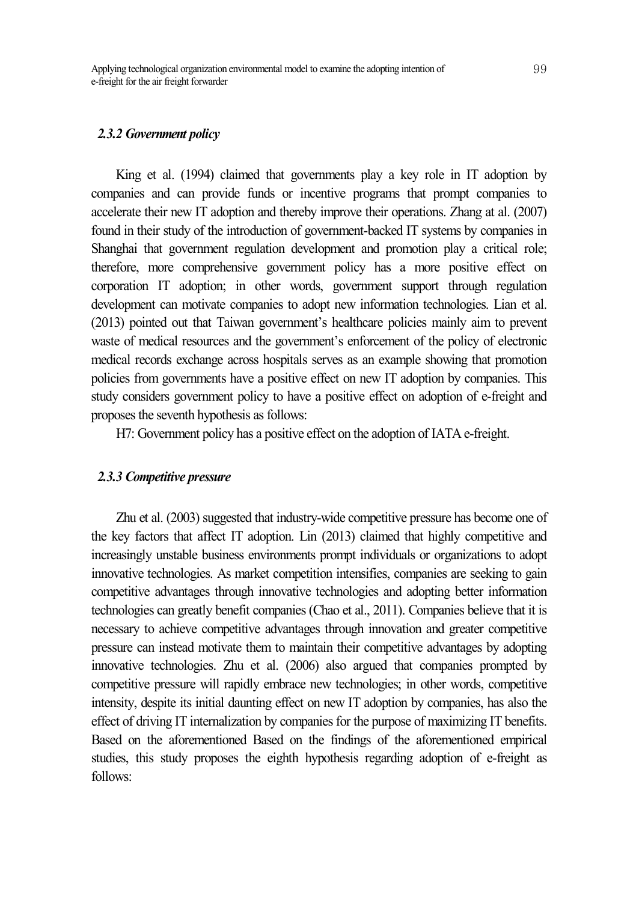#### *2.3.2 Government policy*

King et al. (1994) claimed that governments play a key role in IT adoption by companies and can provide funds or incentive programs that prompt companies to accelerate their new IT adoption and thereby improve their operations. Zhang at al. (2007) found in their study of the introduction of government-backed IT systems by companies in Shanghai that government regulation development and promotion play a critical role; therefore, more comprehensive government policy has a more positive effect on corporation IT adoption; in other words, government support through regulation development can motivate companies to adopt new information technologies. Lian et al. (2013) pointed out that Taiwan government's healthcare policies mainly aim to prevent waste of medical resources and the government's enforcement of the policy of electronic medical records exchange across hospitals serves as an example showing that promotion policies from governments have a positive effect on new IT adoption by companies. This study considers government policy to have a positive effect on adoption of e-freight and proposes the seventh hypothesis as follows:

H7: Government policy has a positive effect on the adoption of IATA e-freight.

#### *2.3.3 Competitive pressure*

Zhu et al. (2003) suggested that industry-wide competitive pressure has become one of the key factors that affect IT adoption. Lin (2013) claimed that highly competitive and increasingly unstable business environments prompt individuals or organizations to adopt innovative technologies. As market competition intensifies, companies are seeking to gain competitive advantages through innovative technologies and adopting better information technologies can greatly benefit companies (Chao et al., 2011). Companies believe that it is necessary to achieve competitive advantages through innovation and greater competitive pressure can instead motivate them to maintain their competitive advantages by adopting innovative technologies. Zhu et al. (2006) also argued that companies prompted by competitive pressure will rapidly embrace new technologies; in other words, competitive intensity, despite its initial daunting effect on new IT adoption by companies, has also the effect of driving IT internalization by companies for the purpose of maximizing IT benefits. Based on the aforementioned Based on the findings of the aforementioned empirical studies, this study proposes the eighth hypothesis regarding adoption of e-freight as follows: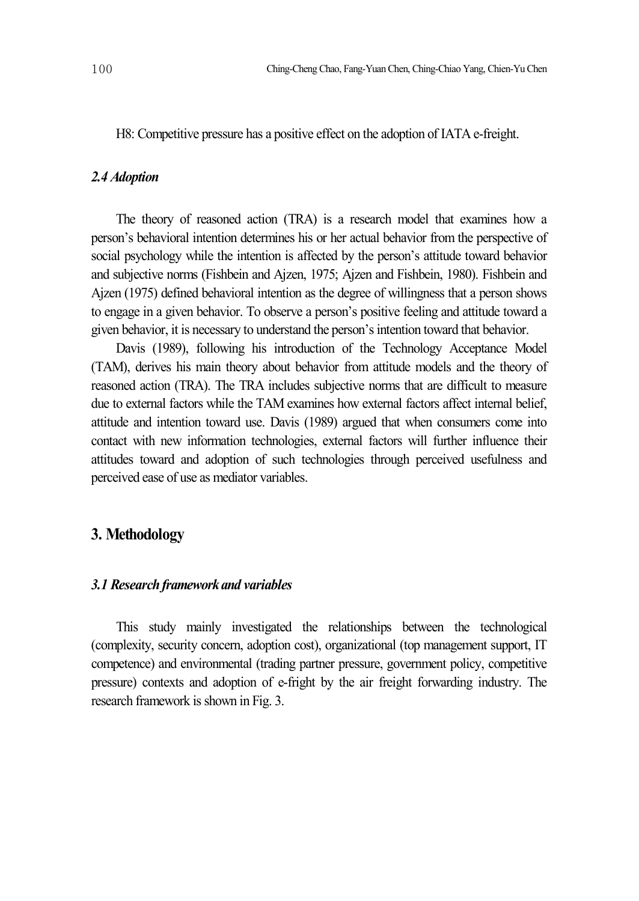H8: Competitive pressure has a positive effect on the adoption of IATA e-freight.

#### *2.4 Adoption*

The theory of reasoned action (TRA) is a research model that examines how a person's behavioral intention determines his or her actual behavior from the perspective of social psychology while the intention is affected by the person's attitude toward behavior and subjective norms (Fishbein and Ajzen, 1975; Ajzen and Fishbein, 1980). Fishbein and Ajzen (1975) defined behavioral intention as the degree of willingness that a person shows to engage in a given behavior. To observe a person's positive feeling and attitude toward a given behavior, it is necessary to understand the person'sintention toward that behavior.

Davis (1989), following his introduction of the Technology Acceptance Model (TAM), derives his main theory about behavior from attitude models and the theory of reasoned action (TRA). The TRA includes subjective norms that are difficult to measure due to external factors while the TAM examines how external factors affect internal belief, attitude and intention toward use. Davis (1989) argued that when consumers come into contact with new information technologies, external factors will further influence their attitudes toward and adoption of such technologies through perceived usefulness and perceived ease of use as mediator variables.

## **3. Methodology**

### *3.1 Researchframeworkand variables*

This study mainly investigated the relationships between the technological (complexity, security concern, adoption cost), organizational (top management support, IT competence) and environmental (trading partner pressure, government policy, competitive pressure) contexts and adoption of e-fright by the air freight forwarding industry. The research framework is shown in Fig. 3.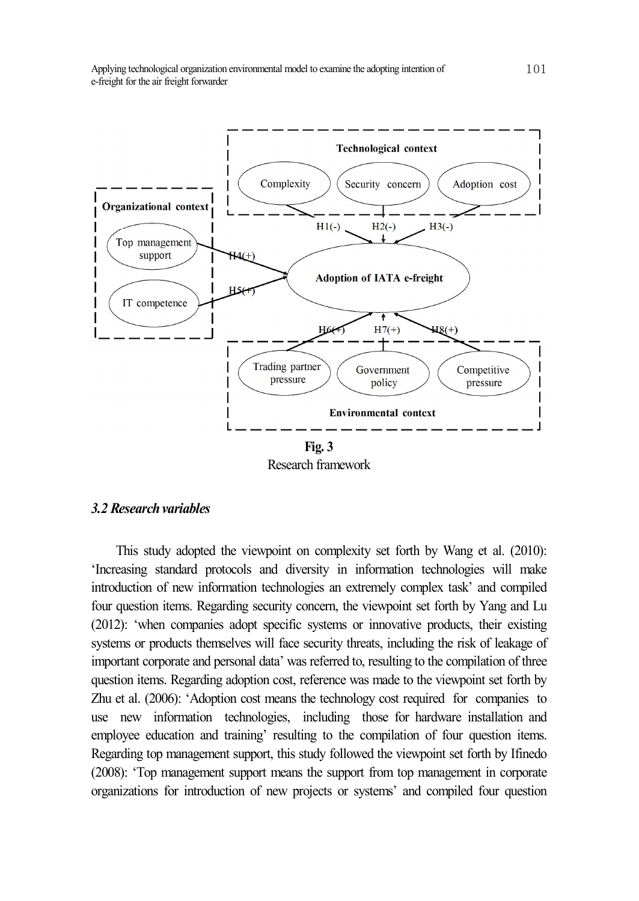

#### *3.2 Researchvariables*

This study adopted the viewpoint on complexity set forth by Wang et al. (2010): 'Increasing standard protocols and diversity in information technologies will make introduction of new information technologies an extremely complex task' and compiled four question items. Regarding security concern, the viewpoint set forth by Yang and Lu (2012): 'when companies adopt specific systems or innovative products, their existing systems or products themselves will face security threats, including the risk of leakage of important corporate and personal data' was referred to, resulting to the compilation of three question items. Regarding adoption cost, reference was made to the viewpoint set forth by Zhu et al. (2006): 'Adoption cost means the technology cost required for companies to use new information technologies, including those for hardware installation and employee education and training' resulting to the compilation of four question items. Regarding top management support, this study followed the viewpoint set forth by Ifinedo (2008): 'Top management support means the support from top management in corporate organizations for introduction of new projects or systems' and compiled four question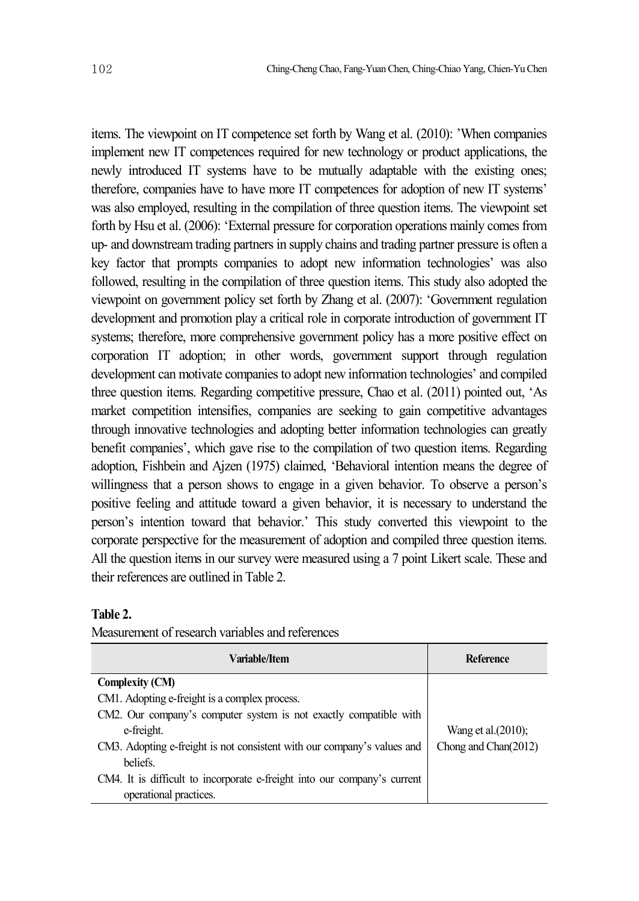items. The viewpoint on IT competence set forth by Wang et al. (2010): 'When companies implement new IT competences required for new technology or product applications, the newly introduced IT systems have to be mutually adaptable with the existing ones; therefore, companies have to have more IT competences for adoption of new IT systems' was also employed, resulting in the compilation of three question items. The viewpoint set forth by Hsu et al. (2006): 'External pressure for corporation operations mainly comes from up- and downstreamtrading partners in supply chains and trading partner pressure is often a key factor that prompts companies to adopt new information technologies' was also followed, resulting in the compilation of three question items. This study also adopted the viewpoint on government policy set forth by Zhang et al. (2007): 'Government regulation development and promotion play a critical role in corporate introduction of government IT systems; therefore, more comprehensive government policy has a more positive effect on corporation IT adoption; in other words, government support through regulation development can motivate companies to adopt new information technologies' and compiled three question items. Regarding competitive pressure, Chao et al. (2011) pointed out, 'As market competition intensifies, companies are seeking to gain competitive advantages through innovative technologies and adopting better information technologies can greatly benefit companies', which gave rise to the compilation of two question items. Regarding adoption, Fishbein and Ajzen (1975) claimed, 'Behavioral intention means the degree of willingness that a person shows to engage in a given behavior. To observe a person's positive feeling and attitude toward a given behavior, it is necessary to understand the person's intention toward that behavior.' This study converted this viewpoint to the corporate perspective for the measurement of adoption and compiled three question items. All the question items in our survey were measured using a 7 point Likert scale. These and their references are outlined in Table 2.

#### **Table 2.**

| Variable/Item                                                            | Reference              |
|--------------------------------------------------------------------------|------------------------|
| <b>Complexity (CM)</b>                                                   |                        |
| CM1. Adopting e-freight is a complex process.                            |                        |
| CM2. Our company's computer system is not exactly compatible with        |                        |
| e-freight.                                                               | Wang et al. $(2010)$ ; |
| CM3. Adopting e-freight is not consistent with our company's values and  | Chong and Chan(2012)   |
| beliefs.                                                                 |                        |
| CM4. It is difficult to incorporate e-freight into our company's current |                        |
| operational practices.                                                   |                        |

Measurement of research variables and references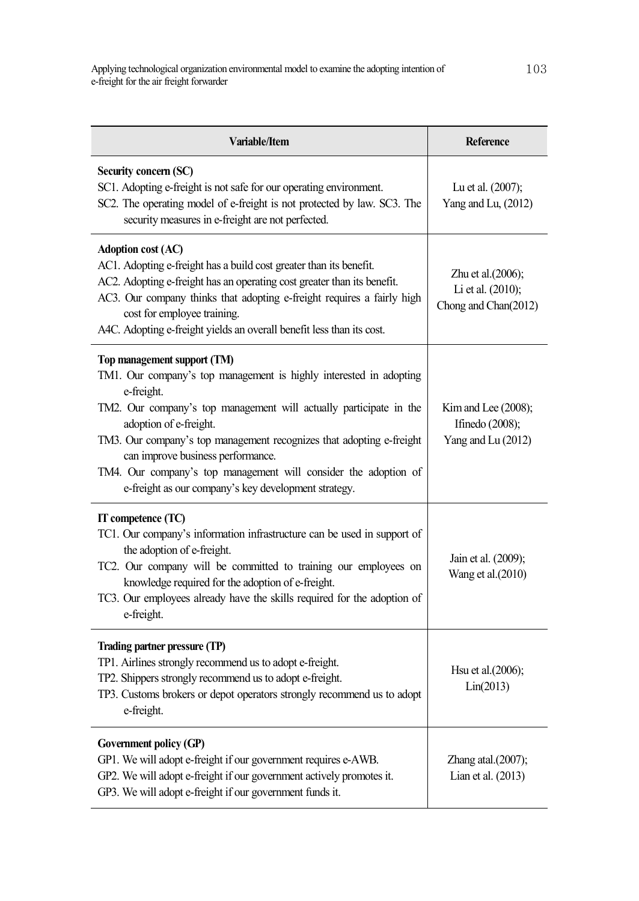| Variable/Item                                                                                                                                                                                                                                                                                                                                                                                                                                           | Reference                                                          |
|---------------------------------------------------------------------------------------------------------------------------------------------------------------------------------------------------------------------------------------------------------------------------------------------------------------------------------------------------------------------------------------------------------------------------------------------------------|--------------------------------------------------------------------|
| Security concern (SC)<br>SC1. Adopting e-freight is not safe for our operating environment.<br>SC2. The operating model of e-freight is not protected by law. SC3. The<br>security measures in e-freight are not perfected.                                                                                                                                                                                                                             | Lu et al. (2007);<br>Yang and Lu, (2012)                           |
| <b>Adoption cost (AC)</b><br>AC1. Adopting e-freight has a build cost greater than its benefit.<br>AC2. Adopting e-freight has an operating cost greater than its benefit.<br>AC3. Our company thinks that adopting e-freight requires a fairly high<br>cost for employee training.<br>A4C. Adopting e-freight yields an overall benefit less than its cost.                                                                                            | Zhu et al. $(2006)$ ;<br>Li et al. (2010);<br>Chong and Chan(2012) |
| Top management support (TM)<br>TM1. Our company's top management is highly interested in adopting<br>e-freight.<br>TM2. Our company's top management will actually participate in the<br>adoption of e-freight.<br>TM3. Our company's top management recognizes that adopting e-freight<br>can improve business performance.<br>TM4. Our company's top management will consider the adoption of<br>e-freight as our company's key development strategy. | Kim and Lee $(2008)$ ;<br>Ifinedo (2008);<br>Yang and Lu (2012)    |
| IT competence (TC)<br>TC1. Our company's information infrastructure can be used in support of<br>the adoption of e-freight.<br>TC2. Our company will be committed to training our employees on<br>knowledge required for the adoption of e-freight.<br>TC3. Our employees already have the skills required for the adoption of<br>e-freight.                                                                                                            | Jain et al. (2009);<br>Wang et al.(2010)                           |
| Trading partner pressure (TP)<br>TP1. Airlines strongly recommend us to adopt e-freight.<br>TP2. Shippers strongly recommend us to adopt e-freight.<br>TP3. Customs brokers or depot operators strongly recommend us to adopt<br>e-freight.                                                                                                                                                                                                             | Hsu et al.(2006);<br>Lin(2013)                                     |
| Government policy (GP)<br>GP1. We will adopt e-freight if our government requires e-AWB.<br>GP2. We will adopt e-freight if our government actively promotes it.<br>GP3. We will adopt e-freight if our government funds it.                                                                                                                                                                                                                            | Zhang atal. $(2007)$ ;<br>Lian et al. (2013)                       |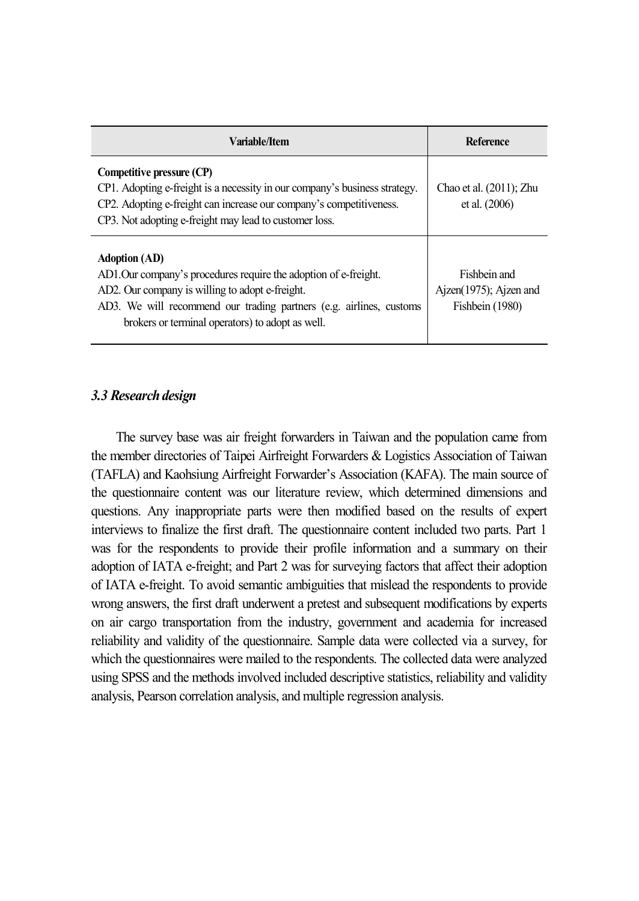| Variable/Item                                                                                                                                                                                                                                                          | Reference                                                 |
|------------------------------------------------------------------------------------------------------------------------------------------------------------------------------------------------------------------------------------------------------------------------|-----------------------------------------------------------|
| Competitive pressure (CP)<br>CP1. Adopting e-freight is a necessity in our company's business strategy.<br>CP2. Adopting e-freight can increase our company's competitiveness.<br>CP3. Not adopting e-freight may lead to customer loss.                               | Chao et al. $(2011)$ ; Zhu<br>et al. $(2006)$             |
| <b>Adoption</b> (AD)<br>AD1. Our company's procedures require the adoption of e-freight.<br>AD2. Our company is willing to adopt e-freight.<br>AD3. We will recommend our trading partners (e.g. airlines, customs<br>brokers or terminal operators) to adopt as well. | Fishbein and<br>Ajzen(1975); Ajzen and<br>Fishbein (1980) |

## *3.3 Researchdesign*

The survey base was air freight forwarders in Taiwan and the population came from the member directories of Taipei Airfreight Forwarders & Logistics Association of Taiwan (TAFLA) and Kaohsiung Airfreight Forwarder's Association (KAFA). The main source of the questionnaire content was our literature review, which determined dimensions and questions. Any inappropriate parts were then modified based on the results of expert interviews to finalize the first draft. The questionnaire content included two parts. Part 1 was for the respondents to provide their profile information and a summary on their adoption of IATA e-freight; and Part 2 was for surveying factors that affect their adoption of IATA e-freight. To avoid semantic ambiguities that mislead the respondents to provide wrong answers, the first draft underwent a pretest and subsequent modifications by experts on air cargo transportation from the industry, government and academia for increased reliability and validity of the questionnaire. Sample data were collected via a survey, for which the questionnaires were mailed to the respondents. The collected data were analyzed using SPSS and the methods involved included descriptive statistics, reliability and validity analysis, Pearson correlation analysis, and multiple regression analysis.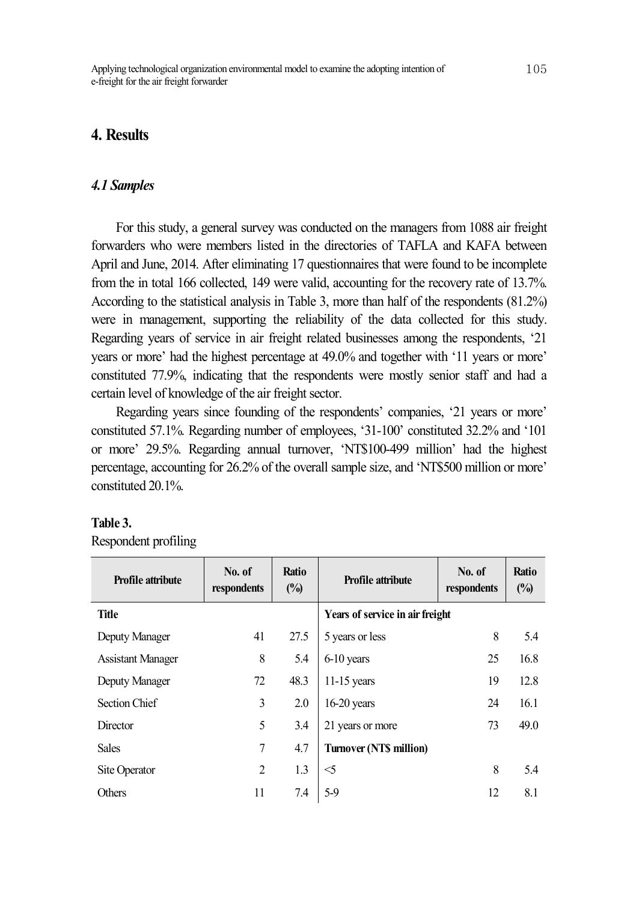## **4. Results**

#### *4.1 Samples*

For this study, a general survey was conducted on the managers from 1088 air freight forwarders who were members listed in the directories of TAFLA and KAFA between April and June, 2014. After eliminating 17 questionnaires that were found to be incomplete from the in total 166 collected, 149 were valid, accounting for the recovery rate of 13.7%. According to the statistical analysis in Table 3, more than half of the respondents (81.2%) were in management, supporting the reliability of the data collected for this study. Regarding years of service in air freight related businesses among the respondents, '21 years or more' had the highest percentage at 49.0% and together with '11 years or more' constituted 77.9%, indicating that the respondents were mostly senior staff and had a certain level of knowledge of the air freight sector.

Regarding years since founding of the respondents' companies, '21 years or more' constituted 57.1%. Regarding number of employees, '31-100' constituted 32.2% and '101 or more' 29.5%. Regarding annual turnover, 'NT\$100-499 million' had the highest percentage, accounting for 26.2% of the overall sample size, and 'NT\$500 million or more' constituted 20.1%.

#### **Table 3.**

Respondent profiling

| <b>Profile attribute</b> | No. of<br>respondents | <b>Ratio</b><br>$(\%)$ | <b>Profile attribute</b>        | No. of<br>respondents | Ratio<br>(%) |
|--------------------------|-----------------------|------------------------|---------------------------------|-----------------------|--------------|
| <b>Title</b>             |                       |                        | Years of service in air freight |                       |              |
| Deputy Manager           | 41                    | 27.5                   | 5 years or less                 | 8                     | 5.4          |
| <b>Assistant Manager</b> | 8                     | 5.4                    | 6-10 years                      | 25                    | 16.8         |
| Deputy Manager           | 72                    | 48.3                   | $11-15$ years                   | 19                    | 12.8         |
| <b>Section Chief</b>     | 3                     | 2.0                    | $16-20$ years                   | 24                    | 16.1         |
| Director                 | 5                     | 3.4                    | 21 years or more                | 73                    | 49.0         |
| <b>Sales</b>             | 7                     | 4.7                    | <b>Turnover (NTS million)</b>   |                       |              |
| Site Operator            | 2                     | 1.3                    | $\leq$ 5                        | 8                     | 5.4          |
| <b>Others</b>            | 11                    | 7.4                    | $5-9$                           | 12                    | 8.1          |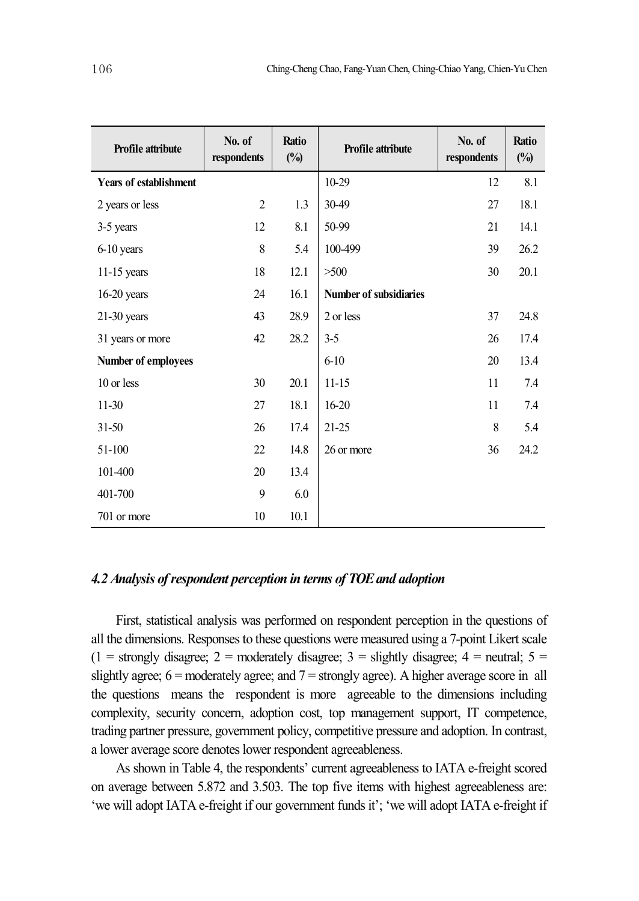| Profile attribute             | No. of<br>respondents | Ratio<br>$(\%)$ | Profile attribute      | No. of<br>respondents | Ratio<br>$(\%)$ |
|-------------------------------|-----------------------|-----------------|------------------------|-----------------------|-----------------|
| <b>Years of establishment</b> |                       |                 | 10-29                  | 12                    | 8.1             |
| 2 years or less               | $\overline{2}$        | 1.3             | 30-49                  | 27                    | 18.1            |
| 3-5 years                     | 12                    | 8.1             | 50-99                  | 21                    | 14.1            |
| 6-10 years                    | 8                     | 5.4             | 100-499                | 39                    | 26.2            |
| $11-15$ years                 | 18                    | 12.1            | >500                   | 30                    | 20.1            |
| $16-20$ years                 | 24                    | 16.1            | Number of subsidiaries |                       |                 |
| $21-30$ years                 | 43                    | 28.9            | 2 or less              | 37                    | 24.8            |
| 31 years or more              | 42                    | 28.2            | $3 - 5$                | 26                    | 17.4            |
| <b>Number of employees</b>    |                       |                 | $6 - 10$               | 20                    | 13.4            |
| 10 or less                    | 30                    | 20.1            | $11 - 15$              | 11                    | 7.4             |
| $11-30$                       | 27                    | 18.1            | $16 - 20$              | 11                    | 7.4             |
| $31 - 50$                     | 26                    | 17.4            | $21 - 25$              | 8                     | 5.4             |
| 51-100                        | 22                    | 14.8            | 26 or more             | 36                    | 24.2            |
| 101-400                       | 20                    | 13.4            |                        |                       |                 |
| 401-700                       | 9                     | 6.0             |                        |                       |                 |
| 701 or more                   | 10                    | 10.1            |                        |                       |                 |

## *4.2 Analysis ofrespondent perception in terms of TOEand adoption*

First, statistical analysis was performed on respondent perception in the questions of all the dimensions. Responsesto these questions were measured using a 7-point Likert scale  $(1 =$  strongly disagree; 2 = moderately disagree; 3 = slightly disagree; 4 = neutral; 5 = slightly agree;  $6 =$  moderately agree; and  $7 =$  strongly agree). A higher average score in all the questions means the respondent is more agreeable to the dimensions including complexity, security concern, adoption cost, top management support, IT competence, trading partner pressure, government policy, competitive pressure and adoption. In contrast, a lower average score denotes lower respondent agreeableness.

As shown in Table 4, the respondents' current agreeableness to IATA e-freight scored on average between 5.872 and 3.503. The top five items with highest agreeableness are: 'we will adopt IATA e-freight if our government funds it'; 'we will adopt IATA e-freight if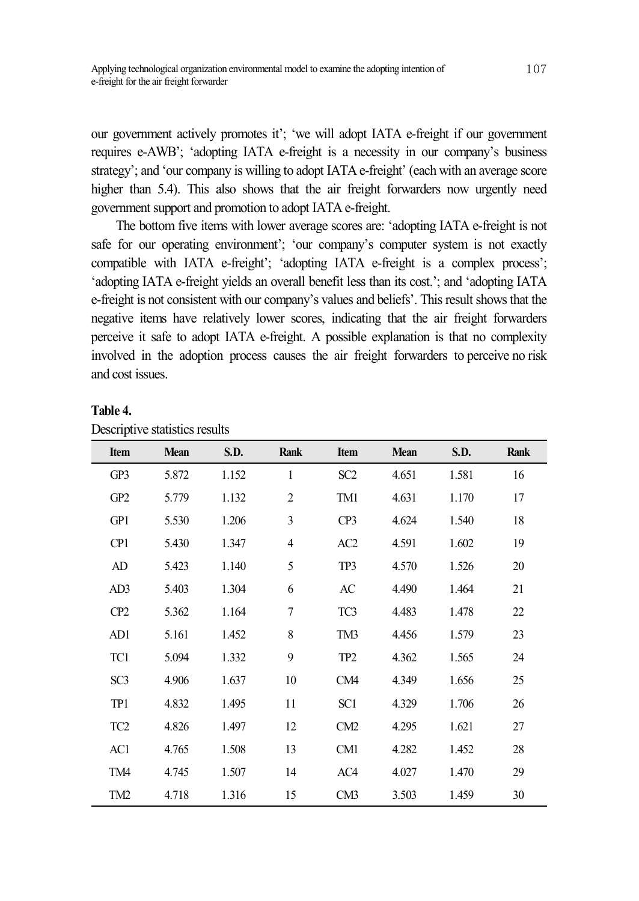our government actively promotes it'; 'we will adopt IATA e-freight if our government requires e-AWB'; 'adopting IATA e-freight is a necessity in our company's business strategy'; and 'our company is willing to adopt IATA e-freight' (each with an average score higher than 5.4). This also shows that the air freight forwarders now urgently need government support and promotion to adopt IATA e-freight.

The bottom five items with lower average scores are: 'adopting IATA e-freight is not safe for our operating environment'; 'our company's computer system is not exactly compatible with IATA e-freight'; 'adopting IATA e-freight is a complex process'; 'adopting IATA e-freight yields an overall benefit less than its cost.'; and 'adopting IATA e-freight is not consistent with our company's values and beliefs'. This result shows that the negative items have relatively lower scores, indicating that the air freight forwarders perceive it safe to adopt IATA e-freight. A possible explanation is that no complexity involved in the adoption process causes the air freight forwarders to perceive no risk and cost issues.

|                 | <b>Bestiple To statistics restarts</b> |             |                |                 |             |       |      |
|-----------------|----------------------------------------|-------------|----------------|-----------------|-------------|-------|------|
| Item            | <b>Mean</b>                            | <b>S.D.</b> | Rank           | Item            | <b>Mean</b> | S.D.  | Rank |
| GP3             | 5.872                                  | 1.152       | $\mathbf{1}$   | SC <sub>2</sub> | 4.651       | 1.581 | 16   |
| GP <sub>2</sub> | 5.779                                  | 1.132       | $\overline{2}$ | TM1             | 4.631       | 1.170 | 17   |
| GP1             | 5.530                                  | 1.206       | 3              | CP3             | 4.624       | 1.540 | 18   |
| CP <sub>1</sub> | 5.430                                  | 1.347       | $\overline{4}$ | AC <sub>2</sub> | 4.591       | 1.602 | 19   |
| AD              | 5.423                                  | 1.140       | 5              | TP3             | 4.570       | 1.526 | 20   |
| AD3             | 5.403                                  | 1.304       | 6              | AC              | 4.490       | 1.464 | 21   |
| CP <sub>2</sub> | 5.362                                  | 1.164       | $\overline{7}$ | TC <sub>3</sub> | 4.483       | 1.478 | 22   |
| AD1             | 5.161                                  | 1.452       | 8              | TM3             | 4.456       | 1.579 | 23   |
| TC1             | 5.094                                  | 1.332       | 9              | TP <sub>2</sub> | 4.362       | 1.565 | 24   |
| SC <sub>3</sub> | 4.906                                  | 1.637       | 10             | CM4             | 4.349       | 1.656 | 25   |
| TP1             | 4.832                                  | 1.495       | 11             | SC1             | 4.329       | 1.706 | 26   |
| TC <sub>2</sub> | 4.826                                  | 1.497       | 12             | CM2             | 4.295       | 1.621 | 27   |
| AC1             | 4.765                                  | 1.508       | 13             | CM1             | 4.282       | 1.452 | 28   |
| TM4             | 4.745                                  | 1.507       | 14             | AC4             | 4.027       | 1.470 | 29   |
| TM <sub>2</sub> | 4.718                                  | 1.316       | 15             | CM3             | 3.503       | 1.459 | 30   |

#### **Table 4.**

|  | Descriptive statistics results |  |
|--|--------------------------------|--|
|  |                                |  |
|  |                                |  |
|  |                                |  |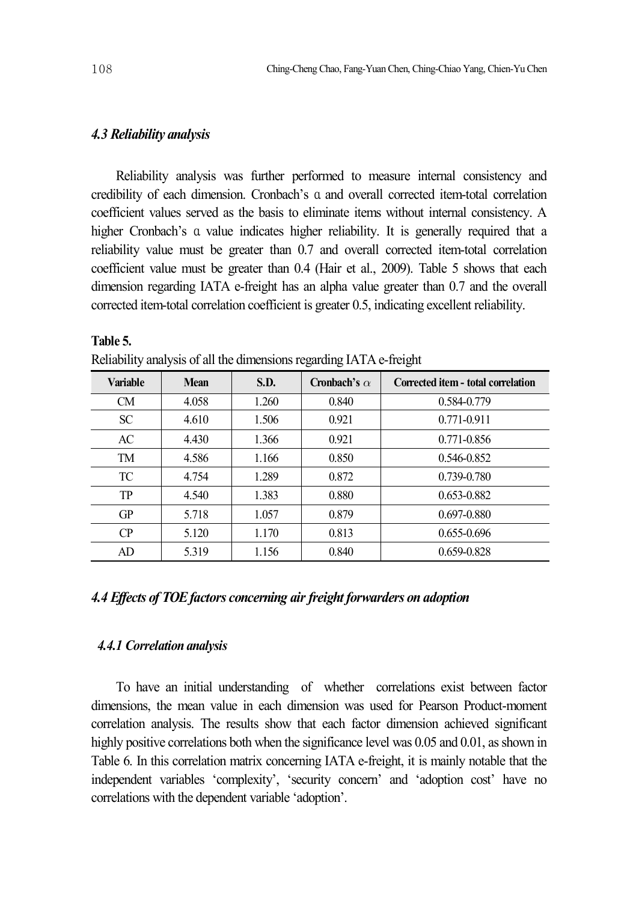#### *4.3 Reliability analysis*

Reliability analysis was further performed to measure internal consistency and credibility of each dimension. Cronbach's α and overall corrected item-total correlation coefficient values served as the basis to eliminate items without internal consistency. A higher Cronbach's α value indicates higher reliability. It is generally required that a reliability value must be greater than 0.7 and overall corrected item-total correlation coefficient value must be greater than 0.4 (Hair et al., 2009). Table 5 shows that each dimension regarding IATA e-freight has an alpha value greater than 0.7 and the overall corrected item-total correlation coefficient is greater 0.5, indicating excellent reliability.

| <b>Variable</b> | <b>Mean</b> | S.D.  | Cronbach's $\alpha$ | Corrected item - total correlation |
|-----------------|-------------|-------|---------------------|------------------------------------|
| <b>CM</b>       | 4.058       | 1.260 | 0.840               | 0.584-0.779                        |
| SC <sup>-</sup> | 4.610       | 1.506 | 0.921               | $0.771 - 0.911$                    |
| AC              | 4.430       | 1.366 | 0.921               | 0.771-0.856                        |
| TM              | 4.586       | 1.166 | 0.850               | 0.546-0.852                        |
| TC              | 4.754       | 1.289 | 0.872               | 0.739-0.780                        |
| <b>TP</b>       | 4.540       | 1.383 | 0.880               | 0.653-0.882                        |
| <b>GP</b>       | 5.718       | 1.057 | 0.879               | 0.697-0.880                        |
| CP              | 5.120       | 1.170 | 0.813               | $0.655 - 0.696$                    |
| AD.             | 5.319       | 1.156 | 0.840               | 0.659-0.828                        |

Reliability analysis of all the dimensions regarding IATA e-freight

## *4.4 Ef ects of TOEfactors concerning air freight forwarders on adoption*

## *4.4.1 Correlation analysis*

To have an initial understanding of whether correlations exist between factor dimensions, the mean value in each dimension was used for Pearson Product-moment correlation analysis. The results show that each factor dimension achieved significant highly positive correlations both when the significance level was 0.05 and 0.01, as shown in Table 6. In this correlation matrix concerning IATA e-freight, it is mainly notable that the independent variables 'complexity', 'security concern' and 'adoption cost' have no correlations with the dependent variable 'adoption'.

**Table 5.**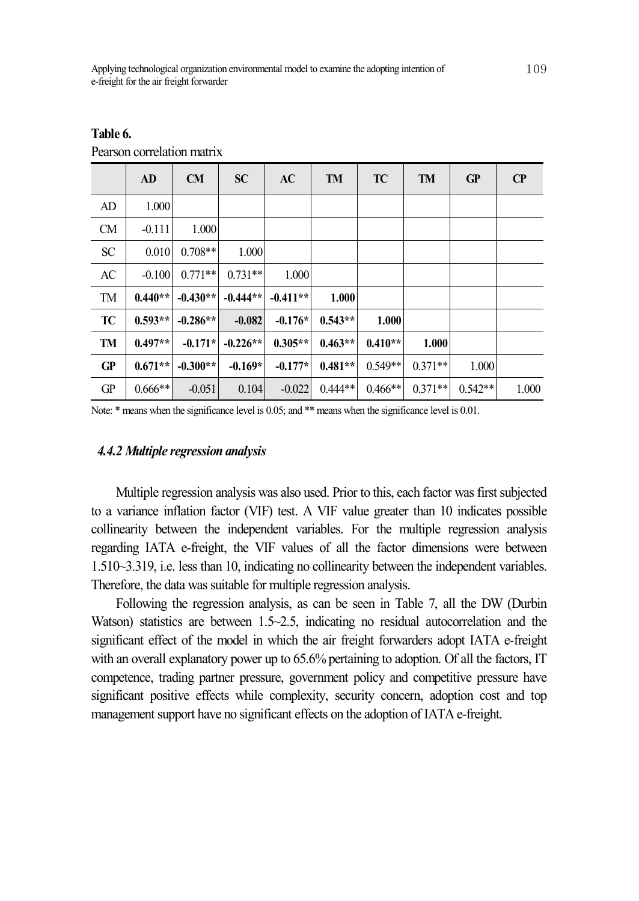|           | AD        | CM         | <b>SC</b>  | AC         | <b>TM</b> | TC        | <b>TM</b> | GP        | $\bf CP$ |
|-----------|-----------|------------|------------|------------|-----------|-----------|-----------|-----------|----------|
| AD        | 1.000     |            |            |            |           |           |           |           |          |
| <b>CM</b> | $-0.111$  | 1.000      |            |            |           |           |           |           |          |
| <b>SC</b> | 0.010     | $0.708**$  | 1.000      |            |           |           |           |           |          |
| AC        | $-0.100$  | $0.771**$  | $0.731**$  | 1.000      |           |           |           |           |          |
| TM        | $0.440**$ | $-0.430**$ | $-0.444**$ | $-0.411**$ | 1.000     |           |           |           |          |
| TC        | $0.593**$ | $-0.286**$ | $-0.082$   | $-0.176*$  | $0.543**$ | 1.000     |           |           |          |
| TM        | $0.497**$ | $-0.171*$  | $-0.226**$ | $0.305**$  | $0.463**$ | $0.410**$ | 1.000     |           |          |
| GP        | $0.671**$ | $-0.300**$ | $-0.169*$  | $-0.177*$  | $0.481**$ | $0.549**$ | $0.371**$ | 1.000     |          |
| GP        | $0.666**$ | $-0.051$   | 0.104      | $-0.022$   | $0.444**$ | $0.466**$ | $0.371**$ | $0.542**$ | 1.000    |

**Table 6.**

Pearson correlation matrix

Note: \* means when the significance level is 0.05; and \*\* means when the significance level is 0.01.

#### *4.4.2 Multiple regression analysis*

Multiple regression analysis was also used. Prior to this, each factor was first subjected to a variance inflation factor (VIF) test. A VIF value greater than 10 indicates possible collinearity between the independent variables. For the multiple regression analysis regarding IATA e-freight, the VIF values of all the factor dimensions were between 1.510~3.319, i.e. less than 10, indicating no collinearity between the independent variables. Therefore, the data was suitable for multiple regression analysis.

Following the regression analysis, as can be seen in Table 7, all the DW (Durbin Watson) statistics are between 1.5~2.5, indicating no residual autocorrelation and the significant effect of the model in which the air freight forwarders adopt IATA e-freight with an overall explanatory power up to 65.6% pertaining to adoption. Of all the factors, IT competence, trading partner pressure, government policy and competitive pressure have significant positive effects while complexity, security concern, adoption cost and top management support have no significant effects on the adoption of IATA e-freight.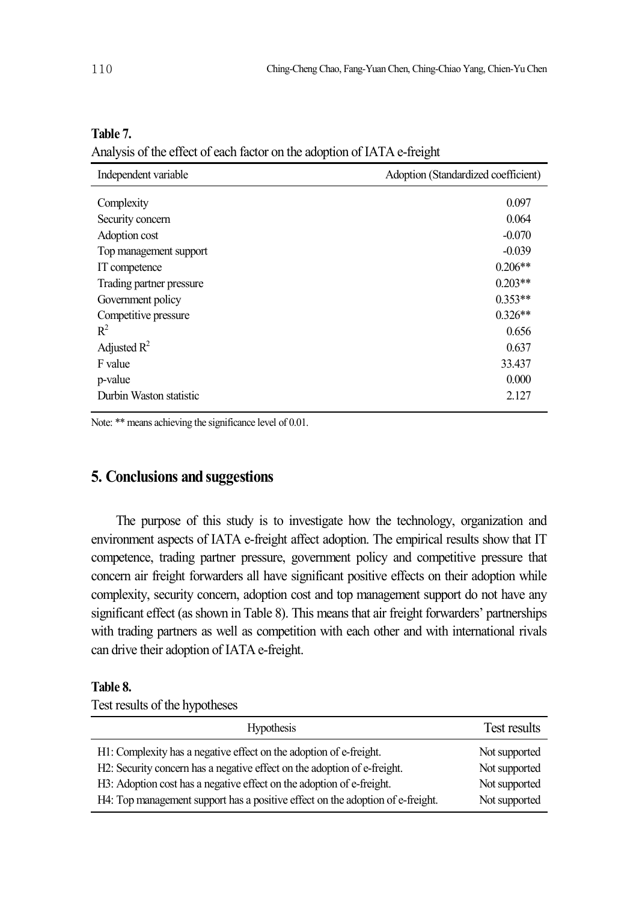| 10 |  |  |
|----|--|--|
|    |  |  |

| Independent variable     | Adoption (Standardized coefficient) |  |
|--------------------------|-------------------------------------|--|
| Complexity               | 0.097                               |  |
| Security concern         | 0.064                               |  |
| Adoption cost            | $-0.070$                            |  |
| Top management support   | $-0.039$                            |  |
| IT competence            | $0.206**$                           |  |
| Trading partner pressure | $0.203**$                           |  |
| Government policy        | $0.353**$                           |  |
| Competitive pressure     | $0.326**$                           |  |
| $\mathbb{R}^2$           | 0.656                               |  |
| Adjusted $R^2$           | 0.637                               |  |
| F value                  | 33.437                              |  |
| p-value                  | 0.000                               |  |
| Durbin Waston statistic  | 2.127                               |  |

#### **Table 7.**

Analysis of the effect of each factor on the adoption of IATA e-freight

Note: \*\* means achieving the significance level of 0.01.

## **5. Conclusions and suggestions**

The purpose of this study is to investigate how the technology, organization and environment aspects of IATA e-freight affect adoption. The empirical results show that IT competence, trading partner pressure, government policy and competitive pressure that concern air freight forwarders all have significant positive effects on their adoption while complexity, security concern, adoption cost and top management support do not have any significant effect (as shown in Table 8). This means that air freight forwarders' partnerships with trading partners as well as competition with each other and with international rivals can drive their adoption of IATA e-freight.

## **Table 8.**

Test results of the hypotheses

| <b>Hypothesis</b>                                                              | Test results  |
|--------------------------------------------------------------------------------|---------------|
| H1: Complexity has a negative effect on the adoption of e-freight.             | Not supported |
| H2: Security concern has a negative effect on the adoption of e-freight.       | Not supported |
| H3: Adoption cost has a negative effect on the adoption of e-freight.          | Not supported |
| H4: Top management support has a positive effect on the adoption of e-freight. | Not supported |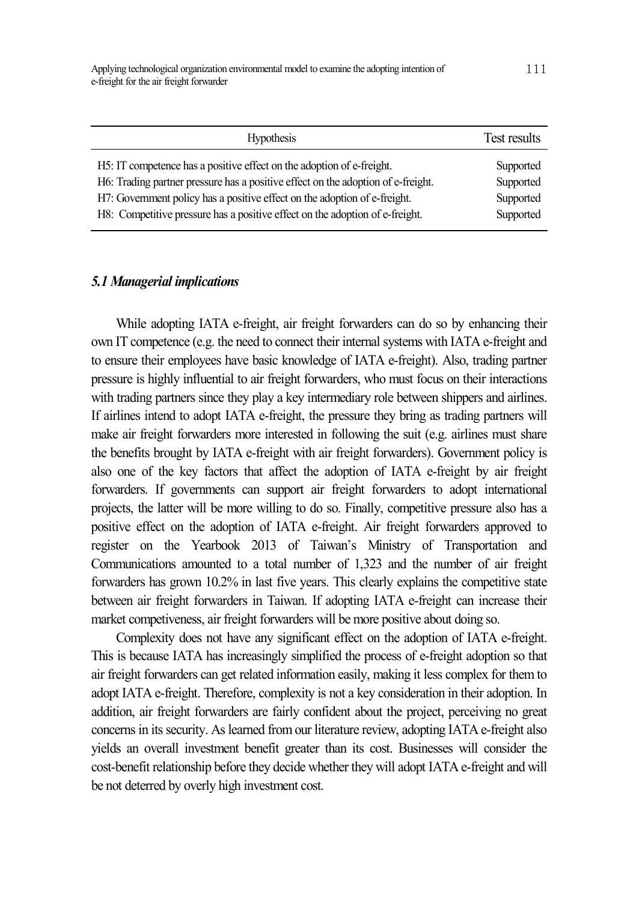| <b>Hypothesis</b>                                                                | Test results |
|----------------------------------------------------------------------------------|--------------|
| H5: IT competence has a positive effect on the adoption of e-freight.            | Supported    |
| H6: Trading partner pressure has a positive effect on the adoption of e-freight. | Supported    |
| H7: Government policy has a positive effect on the adoption of e-freight.        | Supported    |
| H8: Competitive pressure has a positive effect on the adoption of e-freight.     | Supported    |

#### *5.1 Managerial implications*

While adopting IATA e-freight, air freight forwarders can do so by enhancing their own IT competence (e.g. the need to connect their internal systems with IATA e-freight and to ensure their employees have basic knowledge of IATA e-freight). Also, trading partner pressure is highly influential to air freight forwarders, who must focus on their interactions with trading partners since they play a key intermediary role between shippers and airlines. If airlines intend to adopt IATA e-freight, the pressure they bring as trading partners will make air freight forwarders more interested in following the suit (e.g. airlines must share the benefits brought by IATA e-freight with air freight forwarders). Government policy is also one of the key factors that affect the adoption of IATA e-freight by air freight forwarders. If governments can support air freight forwarders to adopt international projects, the latter will be more willing to do so. Finally, competitive pressure also has a positive effect on the adoption of IATA e-freight. Air freight forwarders approved to register on the Yearbook 2013 of Taiwan's Ministry of Transportation and Communications amounted to a total number of 1,323 and the number of air freight forwarders has grown 10.2% in last five years. This clearly explains the competitive state between air freight forwarders in Taiwan. If adopting IATA e-freight can increase their market competiveness, air freight forwarders will be more positive about doing so.

Complexity does not have any significant effect on the adoption of IATA e-freight. This is because IATA has increasingly simplified the process of e-freight adoption so that air freight forwarders can get related information easily, making it less complex for them to adopt IATA e-freight. Therefore, complexity is not a key consideration in their adoption. In addition, air freight forwarders are fairly confident about the project, perceiving no great concerns in its security. As learned from our literature review, adopting IATA e-freight also yields an overall investment benefit greater than its cost. Businesses will consider the cost-benefit relationship before they decide whether they will adopt IATA e-freight and will be not deterred by overly high investment cost.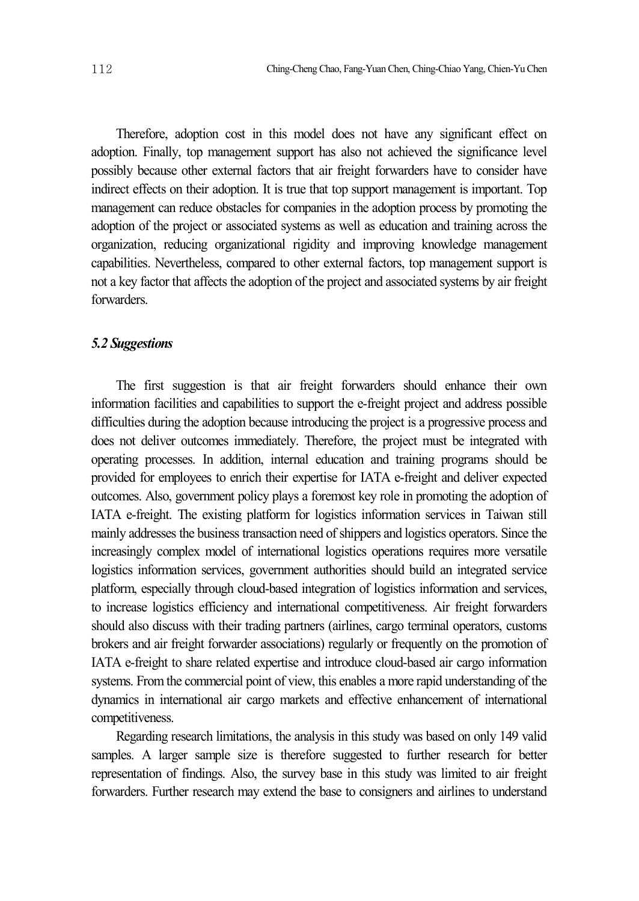Therefore, adoption cost in this model does not have any significant effect on adoption. Finally, top management support has also not achieved the significance level possibly because other external factors that air freight forwarders have to consider have indirect effects on their adoption. It is true that top support management is important. Top management can reduce obstacles for companies in the adoption process by promoting the adoption of the project or associated systems as well as education and training across the organization, reducing organizational rigidity and improving knowledge management capabilities. Nevertheless, compared to other external factors, top management support is not a key factor that affects the adoption of the project and associated systems by air freight **forwarders** 

#### *5.2 Suggestions*

The first suggestion is that air freight forwarders should enhance their own information facilities and capabilities to support the e-freight project and address possible difficulties during the adoption because introducing the project is a progressive process and does not deliver outcomes immediately. Therefore, the project must be integrated with operating processes. In addition, internal education and training programs should be provided for employees to enrich their expertise for IATA e-freight and deliver expected outcomes. Also, government policy plays a foremost key role in promoting the adoption of IATA e-freight. The existing platform for logistics information services in Taiwan still mainly addresses the business transaction need of shippers and logistics operators. Since the increasingly complex model of international logistics operations requires more versatile logistics information services, government authorities should build an integrated service platform, especially through cloud-based integration of logistics information and services, to increase logistics efficiency and international competitiveness. Air freight forwarders should also discuss with their trading partners (airlines, cargo terminal operators, customs brokers and air freight forwarder associations) regularly or frequently on the promotion of IATA e-freight to share related expertise and introduce cloud-based air cargo information systems. Fromthe commercial point of view, this enables a more rapid understanding of the dynamics in international air cargo markets and effective enhancement of international competitiveness.

Regarding research limitations, the analysis in this study was based on only 149 valid samples. A larger sample size is therefore suggested to further research for better representation of findings. Also, the survey base in this study was limited to air freight forwarders. Further research may extend the base to consigners and airlines to understand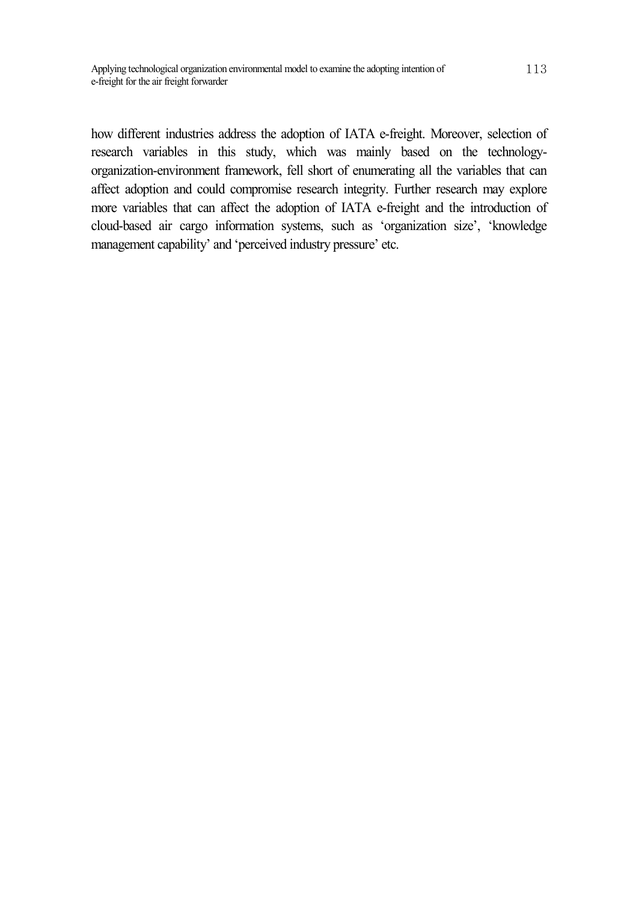how different industries address the adoption of IATA e-freight. Moreover, selection of research variables in this study, which was mainly based on the technologyorganization-environment framework, fell short of enumerating all the variables that can affect adoption and could compromise research integrity. Further research may explore more variables that can affect the adoption of IATA e-freight and the introduction of cloud-based air cargo information systems, such as 'organization size', 'knowledge management capability' and 'perceived industry pressure' etc.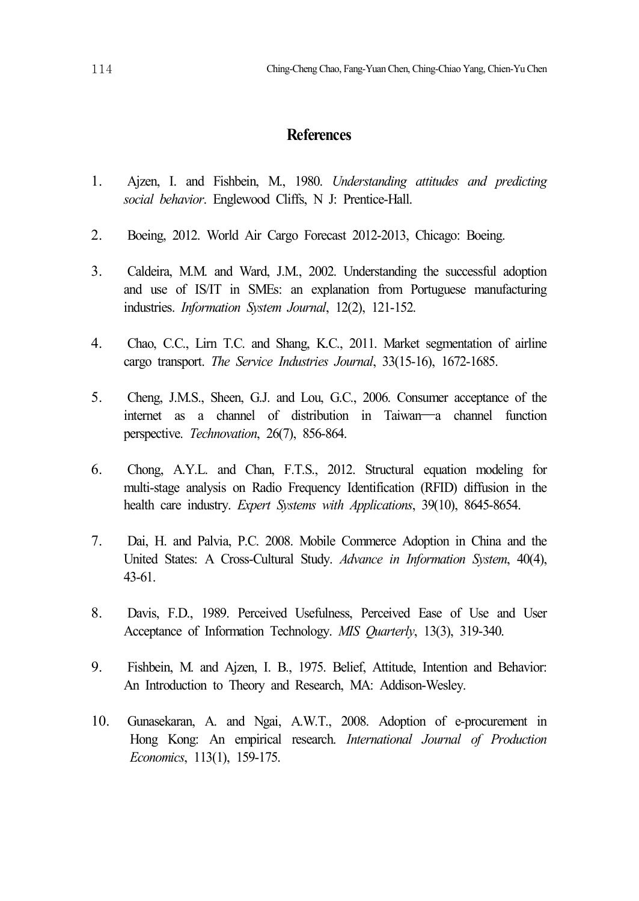## **References**

- 1. Ajzen, I. and Fishbein, M., 1980. *Understanding attitudes and predicting social behavior*. Englewood Cliffs, N J: Prentice-Hall.
- 2. Boeing, 2012. World Air Cargo Forecast 2012-2013, Chicago: Boeing.
- 3. Caldeira, M.M. and Ward, J.M., 2002. Understanding the successful adoption and use of IS/IT in SMEs: an explanation from Portuguese manufacturing industries. *Information System Journal*, 12(2), 121-152.
- 4. Chao, C.C., Lirn T.C. and Shang, K.C., 2011. Market segmentation of airline cargo transport. *The Service Industries Journal*, 33(15-16), 1672-1685.
- 5. Cheng, J.M.S., Sheen, G.J. and Lou, G.C., 2006. Consumer acceptance of the internet as a channel of distribution in Taiwan—a channel function perspective. *Technovation*, 26(7), 856-864.
- 6. Chong, A.Y.L. and Chan, F.T.S., 2012. Structural equation modeling for multi-stage analysis on Radio Frequency Identification (RFID) diffusion in the health care industry. *Expert Systems with Applications*, 39(10), 8645-8654.
- 7. Dai, H. and Palvia, P.C. 2008. Mobile Commerce Adoption in China and the United States: A Cross-Cultural Study. *Advance in Information System*, 40(4), 43-61.
- 8. Davis, F.D., 1989. Perceived Usefulness, Perceived Ease of Use and User Acceptance of Information Technology. *MIS Quarterly*, 13(3), 319-340.
- 9. Fishbein, M. and Ajzen, I. B., 1975. Belief, Attitude, Intention and Behavior: An Introduction to Theory and Research, MA: Addison-Wesley.
- 10. Gunasekaran, A. and Ngai, A.W.T., 2008. Adoption of e-procurement in Hong Kong: An empirical research. *International Journal of Production Economics*, 113(1), 159-175.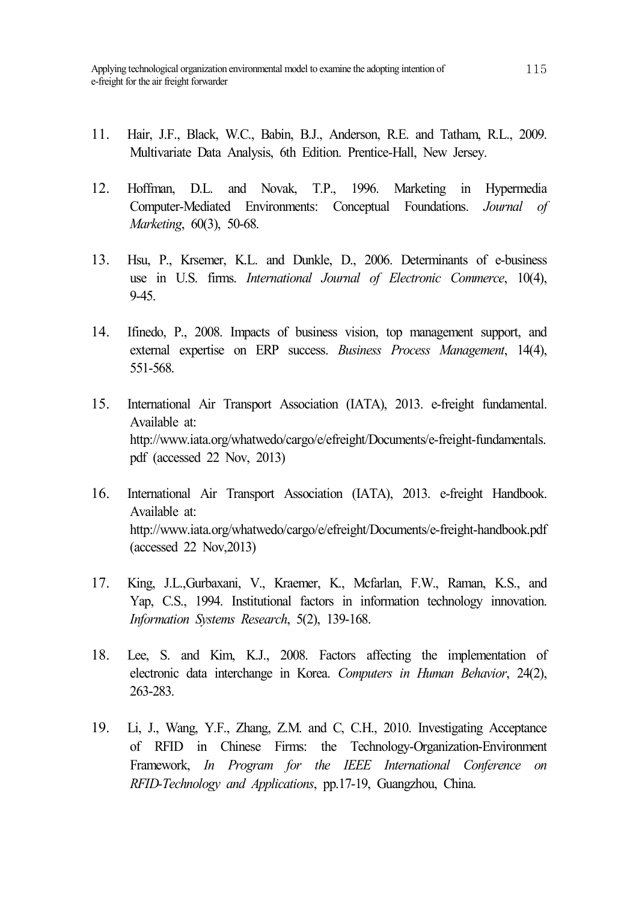- 11. Hair, J.F., Black, W.C., Babin, B.J., Anderson, R.E. and Tatham, R.L., 2009. Multivariate Data Analysis, 6th Edition. Prentice-Hall, New Jersey.
- 12. Hoffman, D.L. and Novak, T.P., 1996. Marketing in Hypermedia Computer-Mediated Environments: Conceptual Foundations. *Journal of Marketing*, 60(3), 50-68.
- 13. Hsu, P., Krsemer, K.L. and Dunkle, D., 2006. Determinants of e-business use in U.S. firms. *International Journal of Electronic Commerce*, 10(4),  $9 - 45.$
- 14. Ifinedo, P., 2008. Impacts of business vision, top management support, and external expertise on ERP success. *Business Process Management*, 14(4), 551-568.
- 15. International Air Transport Association (IATA), 2013. e-freight fundamental. Available at: http://www.iata.org/whatwedo/cargo/e/efreight/Documents/e-freight-fundamentals. pdf (accessed 22 Nov, 2013)
- 16. International Air Transport Association (IATA), 2013. e-freight Handbook. Available at: http://www.iata.org/whatwedo/cargo/e/efreight/Documents/e-freight-handbook.pdf (accessed 22 Nov,2013)
- 17. King, J.L.,Gurbaxani, V., Kraemer, K., Mcfarlan, F.W., Raman, K.S., and Yap, C.S., 1994. Institutional factors in information technology innovation. *Information Systems Research*, 5(2), 139-168.
- 18. Lee, S. and Kim, K.J., 2008. Factors affecting the implementation of electronic data interchange in Korea. *Computers in Human Behavior*, 24(2), 263-283.
- 19. Li, J., Wang, Y.F., Zhang, Z.M. and C, C.H., 2010. Investigating Acceptance of RFID in Chinese Firms: the Technology-Organization-Environment Framework, *In Program for the IEEE International Conference on RFID-Technology and Applications*, pp.17-19, Guangzhou, China.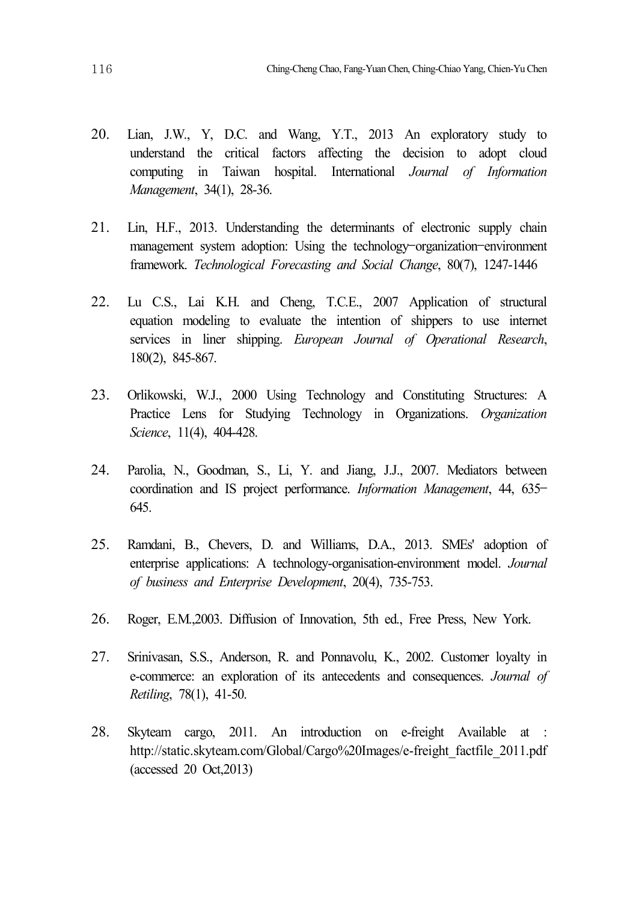- 20. Lian, J.W., Y, D.C. and Wang, Y.T., 2013 An exploratory study to understand the critical factors affecting the decision to adopt cloud computing in Taiwan hospital. International *Journal of Information Management*, 34(1), 28-36.
- 21. Lin, H.F., 2013. Understanding the determinants of electronic supply chain management system adoption: Using the technology–organization–environment framework. *Technological Forecasting and Social Change*, 80(7), 1247-1446
- 22. Lu C.S., Lai K.H. and Cheng, T.C.E., 2007 Application of structural equation modeling to evaluate the intention of shippers to use internet services in liner shipping. *European Journal of Operational Research*, 180(2), 845-867.
- 23. Orlikowski, W.J., 2000 Using Technology and Constituting Structures: A Practice Lens for Studying Technology in Organizations. *Organization Science*, 11(4), 404-428.
- 24. Parolia, N., Goodman, S., Li, Y. and Jiang, J.J., 2007. Mediators between coordination and IS project performance. *Information Management*, 44, 635– 645.
- 25. Ramdani, B., Chevers, D. and Williams, D.A., 2013. SMEs' adoption of enterprise applications: A technology-organisation-environment model. *Journal of business and Enterprise Development*, 20(4), 735-753.
- 26. Roger, E.M.,2003. Diffusion of Innovation, 5th ed., Free Press, New York.
- 27. Srinivasan, S.S., Anderson, R. and Ponnavolu, K., 2002. Customer loyalty in e-commerce: an exploration of its antecedents and consequences. *Journal of Retiling*, 78(1), 41-50.
- 28. Skyteam cargo, 2011. An introduction on e-freight Available at : http://static.skyteam.com/Global/Cargo%20Images/e-freight\_factfile\_2011.pdf (accessed 20 Oct,2013)